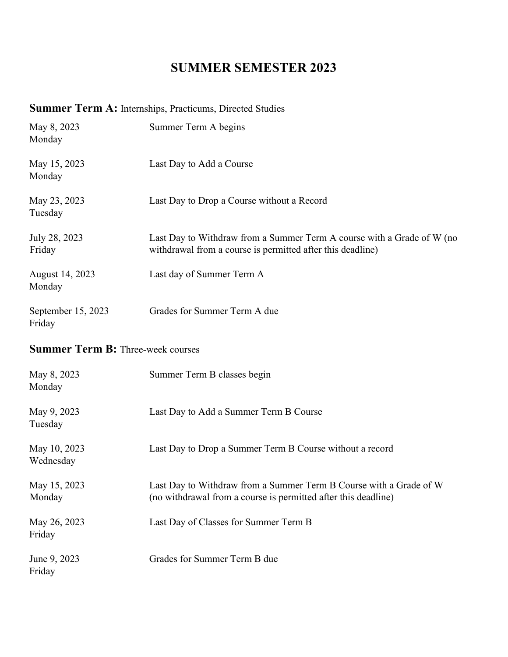## **SUMMER SEMESTER 2023**

## **Summer Term A:** Internships, Practicums, Directed Studies

| May 8, 2023<br>Monday        | Summer Term A begins                                                                                                                 |
|------------------------------|--------------------------------------------------------------------------------------------------------------------------------------|
| May 15, 2023<br>Monday       | Last Day to Add a Course                                                                                                             |
| May 23, 2023<br>Tuesday      | Last Day to Drop a Course without a Record                                                                                           |
| July 28, 2023<br>Friday      | Last Day to Withdraw from a Summer Term A course with a Grade of W (no<br>withdrawal from a course is permitted after this deadline) |
| August 14, 2023<br>Monday    | Last day of Summer Term A                                                                                                            |
| September 15, 2023<br>Friday | Grades for Summer Term A due                                                                                                         |

## **Summer Term B:** Three-week courses

| May 8, 2023<br>Monday     | Summer Term B classes begin                                                                                                          |
|---------------------------|--------------------------------------------------------------------------------------------------------------------------------------|
| May 9, 2023<br>Tuesday    | Last Day to Add a Summer Term B Course                                                                                               |
| May 10, 2023<br>Wednesday | Last Day to Drop a Summer Term B Course without a record                                                                             |
| May 15, 2023<br>Monday    | Last Day to Withdraw from a Summer Term B Course with a Grade of W<br>(no withdrawal from a course is permitted after this deadline) |
| May 26, 2023<br>Friday    | Last Day of Classes for Summer Term B                                                                                                |
| June 9, 2023<br>Friday    | Grades for Summer Term B due                                                                                                         |